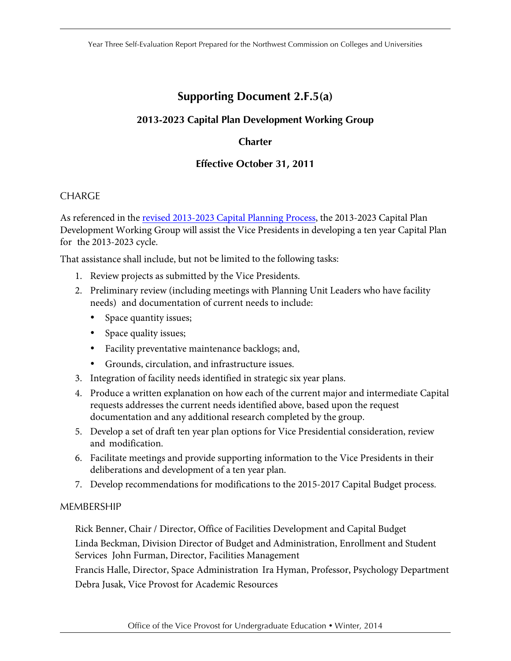Year Three Self-Evaluation Report Prepared for the Northwest Commission on Colleges and Universities

# **Supporting Document 2.F.5(a)**

# **2013-2023 Capital Plan Development Working Group**

# **Charter**

# **Effective October 31, 2011**

## CHARGE

As referenced in the revised 2013-2023 Capital Planning Process, the 2013-2023 Capital Plan Development Working Group will assist the Vice Presidents in developing a ten year Capital Plan for the 2013-2023 cycle.

That assistance shall include, but not be limited to the following tasks:

- 1. Review projects as submitted by the Vice Presidents.
- 2. Preliminary review (including meetings with Planning Unit Leaders who have facility needs) and documentation of current needs to include:
	- Space quantity issues;
	- Space quality issues;
	- Facility preventative maintenance backlogs; and,
	- Grounds, circulation, and infrastructure issues.
- 3. Integration of facility needs identified in strategic six year plans.
- 4. Produce a written explanation on how each of the current major and intermediate Capital requests addresses the current needs identified above, based upon the request documentation and any additional research completed by the group.
- 5. Develop a set of draft ten year plan options for Vice Presidential consideration, review and modification.
- 6. Facilitate meetings and provide supporting information to the Vice Presidents in their deliberations and development of a ten year plan.
- 7. Develop recommendations for modifications to the 2015-2017 Capital Budget process.

## MEMBERSHIP

 Rick Benner, Chair / Director, Office of Facilities Development and Capital Budget Linda Beckman, Division Director of Budget and Administration, Enrollment and Student Services John Furman, Director, Facilities Management

 Francis Halle, Director, Space Administration Ira Hyman, Professor, Psychology Department Debra Jusak, Vice Provost for Academic Resources